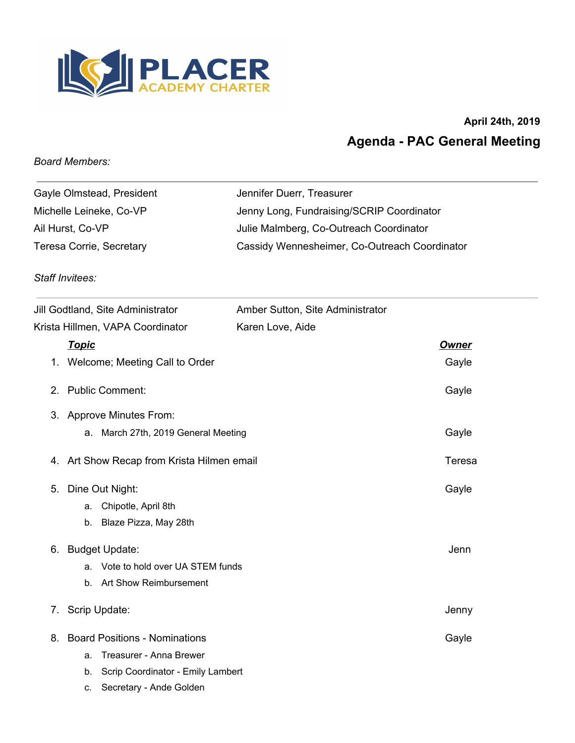

## **April 24th, 2019 Agenda - PAC General Meeting**

## *Board Members:*

| Gayle Olmstead, President | Jennifer Duerr, Treasurer                     |
|---------------------------|-----------------------------------------------|
| Michelle Leineke, Co-VP   | Jenny Long, Fundraising/SCRIP Coordinator     |
| Ail Hurst, Co-VP          | Julie Malmberg, Co-Outreach Coordinator       |
| Teresa Corrie, Secretary  | Cassidy Wennesheimer, Co-Outreach Coordinator |

## *Staff Invitees:*

| Jill Godtland, Site Administrator |              |                                            | Amber Sutton, Site Administrator |              |
|-----------------------------------|--------------|--------------------------------------------|----------------------------------|--------------|
| Krista Hillmen, VAPA Coordinator  |              |                                            | Karen Love, Aide                 |              |
|                                   | <u>Topic</u> |                                            |                                  | <b>Owner</b> |
|                                   |              | 1. Welcome; Meeting Call to Order          |                                  | Gayle        |
|                                   |              | 2. Public Comment:                         |                                  | Gayle        |
|                                   |              | 3. Approve Minutes From:                   |                                  |              |
|                                   |              | a. March 27th, 2019 General Meeting        |                                  | Gayle        |
|                                   |              | 4. Art Show Recap from Krista Hilmen email |                                  | Teresa       |
| 5.                                |              | Dine Out Night:                            |                                  | Gayle        |
|                                   | a.           | Chipotle, April 8th                        |                                  |              |
|                                   | b.           | Blaze Pizza, May 28th                      |                                  |              |
| 6.                                |              | <b>Budget Update:</b>                      |                                  | Jenn         |
|                                   |              | a. Vote to hold over UA STEM funds         |                                  |              |
|                                   |              | b. Art Show Reimbursement                  |                                  |              |
| 7.                                |              | Scrip Update:                              |                                  | Jenny        |
| 8.                                |              | <b>Board Positions - Nominations</b>       |                                  | Gayle        |
|                                   | a.           | Treasurer - Anna Brewer                    |                                  |              |
|                                   | b.           | Scrip Coordinator - Emily Lambert          |                                  |              |
|                                   | C.           | Secretary - Ande Golden                    |                                  |              |